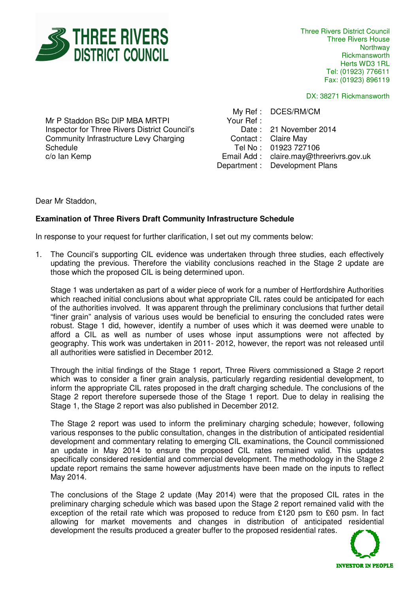

Three Rivers District Council Three Rivers House Northway **Rickmansworth** Herts WD3 1RL Tel: (01923) 776611 Fax: (01923) 896119

DX: 38271 Rickmansworth

Mr P Staddon BSc DIP MBA MRTPI Inspector for Three Rivers District Council's Community Infrastructure Levy Charging **Schedule** c/o Ian Kemp

My Ref : DCES/RM/CM Your Ref : Date : 21 November 2014 Contact : Claire May Tel No : 01923 727106 Email Add : claire.may@threerivrs.gov.uk Department : Development Plans

Dear Mr Staddon,

## **Examination of Three Rivers Draft Community Infrastructure Schedule**

In response to your request for further clarification, I set out my comments below:

1. The Council's supporting CIL evidence was undertaken through three studies, each effectively updating the previous. Therefore the viability conclusions reached in the Stage 2 update are those which the proposed CIL is being determined upon.

Stage 1 was undertaken as part of a wider piece of work for a number of Hertfordshire Authorities which reached initial conclusions about what appropriate CIL rates could be anticipated for each of the authorities involved. It was apparent through the preliminary conclusions that further detail "finer grain" analysis of various uses would be beneficial to ensuring the concluded rates were robust. Stage 1 did, however, identify a number of uses which it was deemed were unable to afford a CIL as well as number of uses whose input assumptions were not affected by geography. This work was undertaken in 2011- 2012, however, the report was not released until all authorities were satisfied in December 2012.

Through the initial findings of the Stage 1 report, Three Rivers commissioned a Stage 2 report which was to consider a finer grain analysis, particularly regarding residential development, to inform the appropriate CIL rates proposed in the draft charging schedule. The conclusions of the Stage 2 report therefore supersede those of the Stage 1 report. Due to delay in realising the Stage 1, the Stage 2 report was also published in December 2012.

The Stage 2 report was used to inform the preliminary charging schedule; however, following various responses to the public consultation, changes in the distribution of anticipated residential development and commentary relating to emerging CIL examinations, the Council commissioned an update in May 2014 to ensure the proposed CIL rates remained valid. This updates specifically considered residential and commercial development. The methodology in the Stage 2 update report remains the same however adjustments have been made on the inputs to reflect May 2014.

The conclusions of the Stage 2 update (May 2014) were that the proposed CIL rates in the preliminary charging schedule which was based upon the Stage 2 report remained valid with the exception of the retail rate which was proposed to reduce from £120 psm to £60 psm. In fact allowing for market movements and changes in distribution of anticipated residential development the results produced a greater buffer to the proposed residential rates.

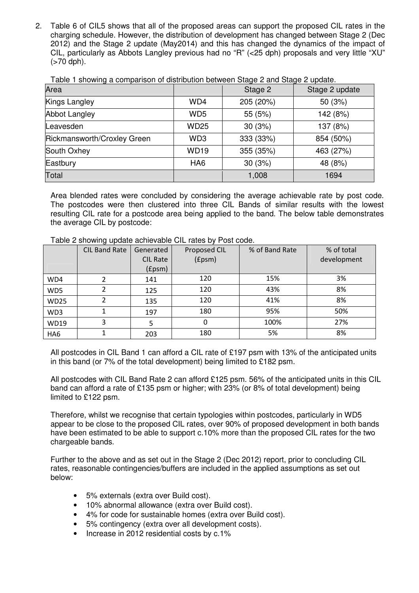2. Table 6 of CIL5 shows that all of the proposed areas can support the proposed CIL rates in the charging schedule. However, the distribution of development has changed between Stage 2 (Dec 2012) and the Stage 2 update (May2014) and this has changed the dynamics of the impact of CIL, particularly as Abbots Langley previous had no "R" (<25 dph) proposals and very little "XU"  $(>70$  dph $).$ 

| Area                        |                 | Stage 2   | Stage 2 update |
|-----------------------------|-----------------|-----------|----------------|
| Kings Langley               | WD4             | 205 (20%) | 50 (3%)        |
| <b>Abbot Langley</b>        | WD <sub>5</sub> | 55 (5%)   | 142 (8%)       |
| Leavesden                   | <b>WD25</b>     | 30(3%)    | 137 (8%)       |
| Rickmansworth/Croxley Green | WD <sub>3</sub> | 333 (33%) | 854 (50%)      |
| South Oxhey                 | <b>WD19</b>     | 355 (35%) | 463 (27%)      |
| Eastbury                    | HA <sub>6</sub> | 30(3%)    | 48 (8%)        |
| Total                       |                 | 1,008     | 1694           |

Table 1 showing a comparison of distribution between Stage 2 and Stage 2 update.

Area blended rates were concluded by considering the average achievable rate by post code. The postcodes were then clustered into three CIL Bands of similar results with the lowest resulting CIL rate for a postcode area being applied to the band. The below table demonstrates the average CIL by postcode:

|                 | <b>CIL Band Rate</b> | Generated       | Proposed CIL | % of Band Rate | % of total  |
|-----------------|----------------------|-----------------|--------------|----------------|-------------|
|                 |                      | <b>CIL Rate</b> | (£psm)       |                | development |
|                 |                      | (fpsm)          |              |                |             |
| WD4             |                      | 141             | 120          | 15%            | 3%          |
| WD5             |                      | 125             | 120          | 43%            | 8%          |
| <b>WD25</b>     |                      | 135             | 120          | 41%            | 8%          |
| WD3             |                      | 197             | 180          | 95%            | 50%         |
| <b>WD19</b>     | 3                    | 5               | 0            | 100%           | 27%         |
| HA <sub>6</sub> |                      | 203             | 180          | 5%             | 8%          |

Table 2 showing update achievable CIL rates by Post code.

All postcodes in CIL Band 1 can afford a CIL rate of £197 psm with 13% of the anticipated units in this band (or 7% of the total development) being limited to £182 psm.

All postcodes with CIL Band Rate 2 can afford £125 psm. 56% of the anticipated units in this CIL band can afford a rate of £135 psm or higher; with 23% (or 8% of total development) being limited to £122 psm.

Therefore, whilst we recognise that certain typologies within postcodes, particularly in WD5 appear to be close to the proposed CIL rates, over 90% of proposed development in both bands have been estimated to be able to support c.10% more than the proposed CIL rates for the two chargeable bands.

Further to the above and as set out in the Stage 2 (Dec 2012) report, prior to concluding CIL rates, reasonable contingencies/buffers are included in the applied assumptions as set out below:

- 5% externals (extra over Build cost).
- 10% abnormal allowance (extra over Build cost).
- 4% for code for sustainable homes (extra over Build cost).
- 5% contingency (extra over all development costs).
- Increase in 2012 residential costs by c.1%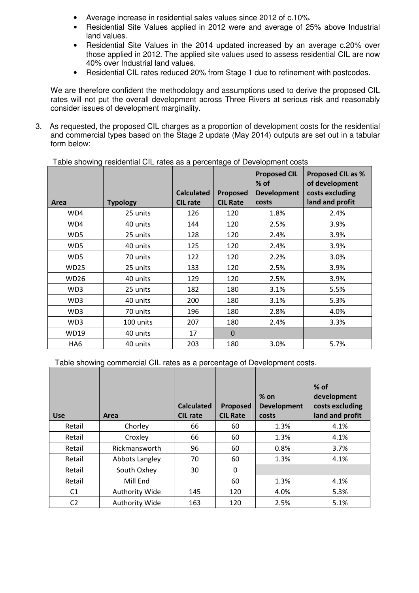- Average increase in residential sales values since 2012 of c.10%.
- Residential Site Values applied in 2012 were and average of 25% above Industrial land values.
- Residential Site Values in the 2014 updated increased by an average c.20% over those applied in 2012. The applied site values used to assess residential CIL are now 40% over Industrial land values.
- Residential CIL rates reduced 20% from Stage 1 due to refinement with postcodes.

We are therefore confident the methodology and assumptions used to derive the proposed CIL rates will not put the overall development across Three Rivers at serious risk and reasonably consider issues of development marginality.

3. As requested, the proposed CIL charges as a proportion of development costs for the residential and commercial types based on the Stage 2 update (May 2014) outputs are set out in a tabular form below:

| Area            | <b>Typology</b> | <b>Calculated</b><br><b>CIL rate</b> | Proposed<br><b>CIL Rate</b> | <b>Proposed CIL</b><br>$%$ of<br><b>Development</b><br>costs | <b>Proposed CIL as %</b><br>of development<br>costs excluding<br>land and profit |
|-----------------|-----------------|--------------------------------------|-----------------------------|--------------------------------------------------------------|----------------------------------------------------------------------------------|
| WD4             | 25 units        | 126                                  | 120                         | 1.8%                                                         | 2.4%                                                                             |
| WD4             | 40 units        | 144                                  | 120                         | 2.5%                                                         | 3.9%                                                                             |
| WD5             | 25 units        | 128                                  | 120                         | 2.4%                                                         | 3.9%                                                                             |
| WD5             | 40 units        | 125                                  | 120                         | 2.4%                                                         | 3.9%                                                                             |
| WD5             | 70 units        | 122                                  | 120                         | 2.2%                                                         | 3.0%                                                                             |
| <b>WD25</b>     | 25 units        | 133                                  | 120                         | 2.5%                                                         | 3.9%                                                                             |
| <b>WD26</b>     | 40 units        | 129                                  | 120                         | 2.5%                                                         | 3.9%                                                                             |
| WD3             | 25 units        | 182                                  | 180                         | 3.1%                                                         | 5.5%                                                                             |
| WD3             | 40 units        | 200                                  | 180                         | 3.1%                                                         | 5.3%                                                                             |
| WD3             | 70 units        | 196                                  | 180                         | 2.8%                                                         | 4.0%                                                                             |
| WD3             | 100 units       | 207                                  | 180                         | 2.4%                                                         | 3.3%                                                                             |
| <b>WD19</b>     | 40 units        | 17                                   | $\mathbf{0}$                |                                                              |                                                                                  |
| HA <sub>6</sub> | 40 units        | 203                                  | 180                         | 3.0%                                                         | 5.7%                                                                             |

Table showing residential CIL rates as a percentage of Development costs

Table showing commercial CIL rates as a percentage of Development costs.

| <b>Use</b>     | Area                  | <b>Calculated</b><br><b>CIL rate</b> | Proposed<br><b>CIL Rate</b> | $%$ on<br><b>Development</b><br>costs | $%$ of<br>development<br>costs excluding<br>land and profit |
|----------------|-----------------------|--------------------------------------|-----------------------------|---------------------------------------|-------------------------------------------------------------|
| Retail         | Chorley               | 66                                   | 60                          | 1.3%                                  | 4.1%                                                        |
| Retail         | Croxley               | 66                                   | 60                          | 1.3%                                  | 4.1%                                                        |
| Retail         | Rickmansworth         | 96                                   | 60                          | 0.8%                                  | 3.7%                                                        |
| Retail         | Abbots Langley        | 70                                   | 60                          | 1.3%                                  | 4.1%                                                        |
| Retail         | South Oxhey           | 30                                   | $\Omega$                    |                                       |                                                             |
| Retail         | Mill End              |                                      | 60                          | 1.3%                                  | 4.1%                                                        |
| C1             | <b>Authority Wide</b> | 145                                  | 120                         | 4.0%                                  | 5.3%                                                        |
| C <sub>2</sub> | <b>Authority Wide</b> | 163                                  | 120                         | 2.5%                                  | 5.1%                                                        |